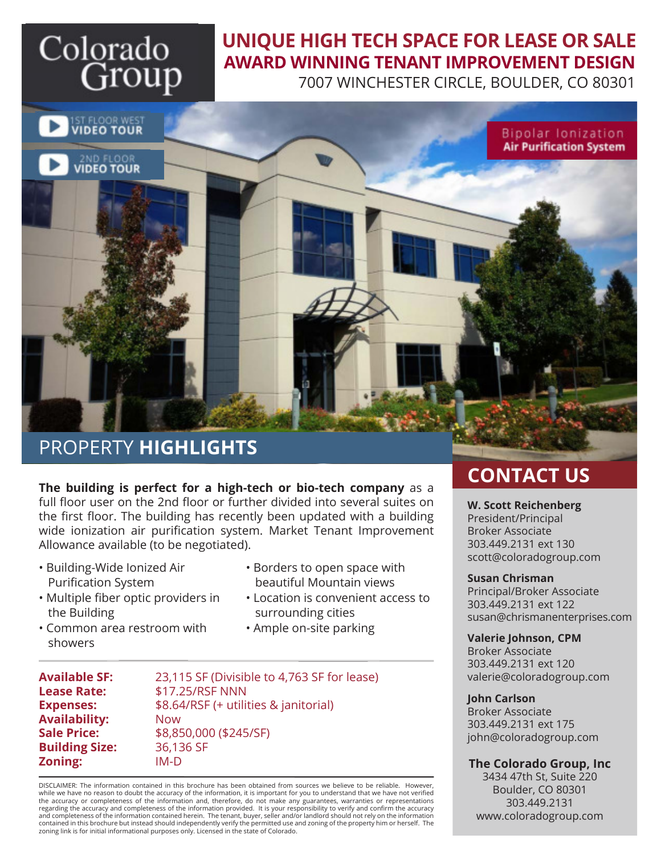# Colorado Group

## **UNIQUE HIGH TECH SPACE FOR LEASE OR SALE AWARD WINNING TENANT IMPROVEMENT DESIGN**

7007 WINCHESTER CIRCLE, BOULDER, CO 80301



## PROPERTY **HIGHLIGHTS**

**The building is perfect for a high-tech or bio-tech company** as a full floor user on the 2nd floor or further divided into several suites on the first floor. The building has recently been updated with a building wide ionization air purification system. Market Tenant Improvement Allowance available (to be negotiated).

- Building-Wide Ionized Air Purification System
- Borders to open space with beautiful Mountain views
- Multiple fiber optic providers in the Building
- Common area restroom with showers
- Location is convenient access to surrounding cities
- Ample on-site parking

**Availability:** Now **Building Size:** 36,136 SF

**Available SF:** 23,115 SF (Divisible to 4,763 SF for lease) **Lease Rate:** \$17.25/RSF NNN **Expenses:** \$8.64/RSF (+ utilities & janitorial) **Sale Price:** \$8,850,000 (\$245/SF) **Zoning:** IM-D **The Colorado Group, Inc**

DISCLAIMER: The information contained in this brochure has been obtained from sources we believe to be reliable. However, while we have no reason to doubt the accuracy of the information, it is important for you to understand that we have not verified<br>the accuracy or completeness of the information and, therefore, do not make any guarantees, regarding the accuracy and completeness of the information provided. It is your responsibility to verify and confirm the accuracy and completeness of the information contained herein. The tenant, buyer, seller and/or landlord should not rely on the information contained in this brochure but instead should independently verify the permitted use and zoning of the property him or herself. The zoning link is for initial informational purposes only. Licensed in the state of Colorado.

## **CONTACT US**

### **W. Scott Reichenberg** President/Principal Broker Associate 303.449.2131 ext 130 scott@coloradogroup.com

### **Susan Chrisman**

Principal/Broker Associate 303.449.2131 ext 122 susan@chrismanenterprises.com

### **Valerie Johnson, CPM**

Broker Associate 303.449.2131 ext 120 valerie@coloradogroup.com

### **John Carlson**

Broker Associate 303.449.2131 ext 175 john@coloradogroup.com

3434 47th St, Suite 220 Boulder, CO 80301 303.449.2131 www.coloradogroup.com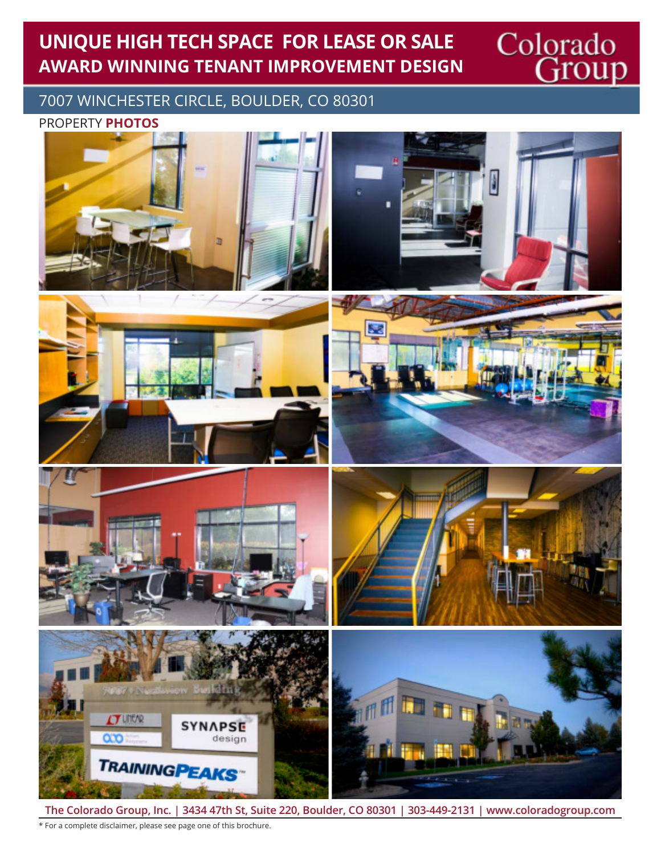## **UNIQUE HIGH TECH SPACE FOR LEASE OR SALE AWARD WINNING TENANT IMPROVEMENT DESIGN**

Colorado<br>Group

7007 WINCHESTER CIRCLE, BOULDER, CO 80301

PROPERTY **PHOTOS**



**The Colorado Group, Inc. | 3434 47th St, Suite 220, Boulder, CO 80301 | 303-449-2131 | www.coloradogroup.com** \* For a complete disclaimer, please see page one of this brochure.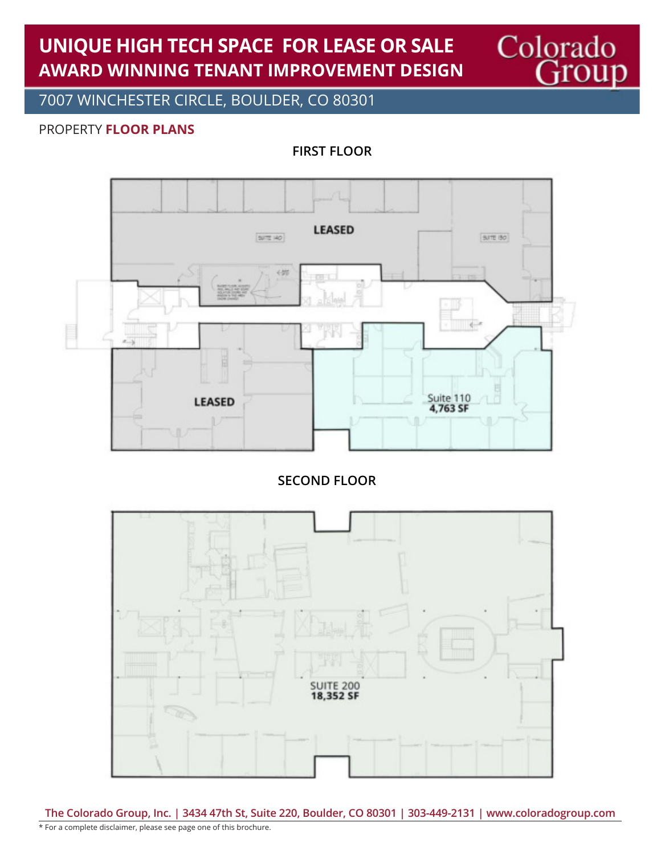## **UNIQUE HIGH TECH SPACE FOR LEASE OR SALE AWARD WINNING TENANT IMPROVEMENT DESIGN**

7007 WINCHESTER CIRCLE, BOULDER, CO 80301

### PROPERTY **FLOOR PLANS**

**FIRST FLOOR**

Colorado<br>Group



**SECOND FLOOR**



**The Colorado Group, Inc. | 3434 47th St, Suite 220, Boulder, CO 80301 | 303-449-2131 | www.coloradogroup.com** \* For a complete disclaimer, please see page one of this brochure.